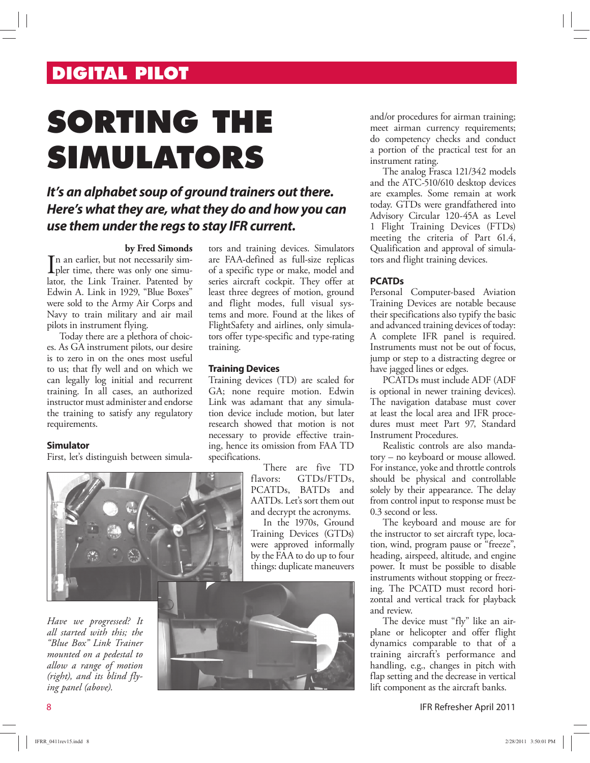# **DIGITAL PILOT**

# **SORTING THE SIMULATORS**

## **It's an alphabet soup of ground trainers out there. Here's what they are, what they do and how you can use them under the regs to stay IFR current.**

#### **by Fred Simonds**

In an earlier, but not necessarily simpler time, there was only one simulation of pler time, there was only one simulator, the Link Trainer. Patented by Edwin A. Link in 1929, "Blue Boxes" were sold to the Army Air Corps and Navy to train military and air mail pilots in instrument flying.

Today there are a plethora of choices. As GA instrument pilots, our desire is to zero in on the ones most useful to us; that fly well and on which we can legally log initial and recurrent training. In all cases, an authorized instructor must administer and endorse the training to satisfy any regulatory requirements.

#### **Simulator**

First, let's distinguish between simula-



*Have we progressed? It all started with this; the "Blue Box" Link Trainer mounted on a pedestal to allow a range of motion (right), and its blind flying panel (above).* 

tors and training devices. Simulators are FAA-defined as full-size replicas of a specific type or make, model and series aircraft cockpit. They offer at least three degrees of motion, ground and flight modes, full visual systems and more. Found at the likes of FlightSafety and airlines, only simulators offer type-specific and type-rating training.

#### **Training Devices**

Training devices (TD) are scaled for GA; none require motion. Edwin Link was adamant that any simulation device include motion, but later research showed that motion is not necessary to provide effective training, hence its omission from FAA TD specifications.

> There are five TD flavors: GTDs/FTDs, PCATDs, BATDs and AATDs. Let's sort them out and decrypt the acronyms.

> In the 1970s, Ground Training Devices (GTDs) were approved informally by the FAA to do up to four things: duplicate maneuvers



and/or procedures for airman training; meet airman currency requirements; do competency checks and conduct a portion of the practical test for an instrument rating.

The analog Frasca 121/342 models and the ATC-510/610 desktop devices are examples. Some remain at work today. GTDs were grandfathered into Advisory Circular 120-45A as Level 1 Flight Training Devices (FTDs) meeting the criteria of Part 61.4, Qualification and approval of simulators and flight training devices.

#### **PCATDs**

Personal Computer-based Aviation Training Devices are notable because their specifications also typify the basic and advanced training devices of today: A complete IFR panel is required. Instruments must not be out of focus, jump or step to a distracting degree or have jagged lines or edges.

PCATDs must include ADF (ADF is optional in newer training devices). The navigation database must cover at least the local area and IFR procedures must meet Part 97, Standard Instrument Procedures.

Realistic controls are also mandatory – no keyboard or mouse allowed. For instance, yoke and throttle controls should be physical and controllable solely by their appearance. The delay from control input to response must be 0.3 second or less.

The keyboard and mouse are for the instructor to set aircraft type, location, wind, program pause or "freeze", heading, airspeed, altitude, and engine power. It must be possible to disable instruments without stopping or freezing. The PCATD must record horizontal and vertical track for playback and review.

The device must "fly" like an airplane or helicopter and offer flight dynamics comparable to that of a training aircraft's performance and handling, e.g., changes in pitch with flap setting and the decrease in vertical lift component as the aircraft banks.

8 IFR Refresher April 2011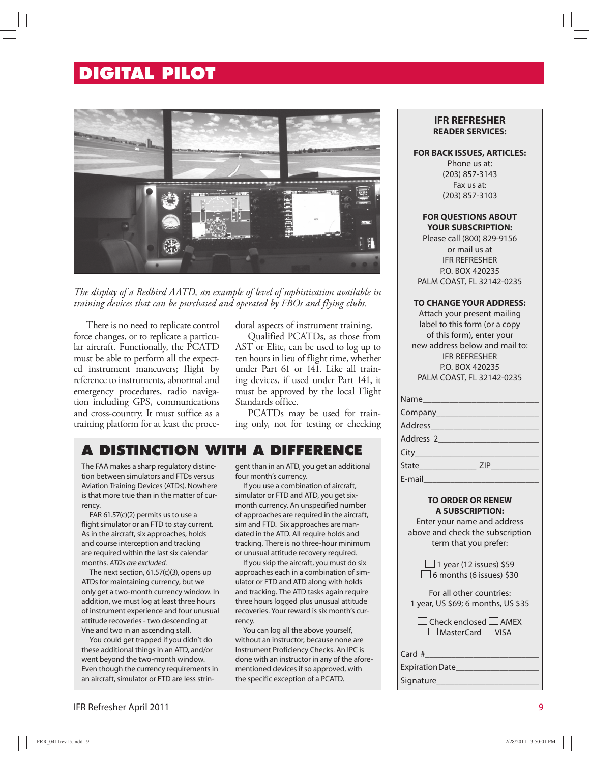# **DIGITAL PILOT**



*The display of a Redbird AATD, an example of level of sophistication available in training devices that can be purchased and operated by FBOs and flying clubs.*

There is no need to replicate control force changes, or to replicate a particular aircraft. Functionally, the PCATD must be able to perform all the expected instrument maneuvers; flight by reference to instruments, abnormal and emergency procedures, radio navigation including GPS, communications and cross-country. It must suffice as a training platform for at least the procedural aspects of instrument training.

Qualified PCATDs, as those from AST or Elite, can be used to log up to ten hours in lieu of flight time, whether under Part 61 or 141. Like all training devices, if used under Part 141, it must be approved by the local Flight Standards office.

PCATDs may be used for training only, not for testing or checking

## **A DISTINCTION WITH A DIFFERENCE**

The FAA makes a sharp regulatory distinction between simulators and FTDs versus Aviation Training Devices (ATDs). Nowhere is that more true than in the matter of currency.

FAR 61.57(c)(2) permits us to use a flight simulator or an FTD to stay current. As in the aircraft, six approaches, holds and course interception and tracking are required within the last six calendar months. ATDs are excluded.

The next section, 61.57(c)(3), opens up ATDs for maintaining currency, but we only get a two-month currency window. In addition, we must log at least three hours of instrument experience and four unusual attitude recoveries - two descending at Vne and two in an ascending stall.

You could get trapped if you didn't do these additional things in an ATD, and/or went beyond the two-month window. Even though the currency requirements in an aircraft, simulator or FTD are less stringent than in an ATD, you get an additional four month's currency.

If you use a combination of aircraft, simulator or FTD and ATD, you get sixmonth currency. An unspecified number of approaches are required in the aircraft, sim and FTD. Six approaches are mandated in the ATD. All require holds and tracking. There is no three-hour minimum or unusual attitude recovery required.

If you skip the aircraft, you must do six approaches each in a combination of simulator or FTD and ATD along with holds and tracking. The ATD tasks again require three hours logged plus unusual attitude recoveries. Your reward is six month's currency.

You can log all the above yourself, without an instructor, because none are Instrument Proficiency Checks. An IPC is done with an instructor in any of the aforementioned devices if so approved, with the specific exception of a PCATD.

#### **IFR REFRESHER READER SERVICES:**

#### **FOR BACK ISSUES, ARTICLES:**

Phone us at: (203) 857-3143 Fax us at: (203) 857-3103

#### **FOR QUESTIONS ABOUT YOUR SUBSCRIPTION:**

Please call (800) 829-9156 or mail us at IFR REFRESHER P.O. BOX 420235 PALM COAST, FL 32142-0235

#### **TO CHANGE YOUR ADDRESS:**

Attach your present mailing label to this form (or a copy of this form), enter your new address below and mail to: IFR REFRESHER P.O. BOX 420235 PALM COAST, FL 32142-0235

| Name                 |  |
|----------------------|--|
|                      |  |
|                      |  |
|                      |  |
|                      |  |
| State <b>ZIP ZIP</b> |  |
| E-mail               |  |

#### **TO ORDER OR RENEW A SUBSCRIPTION:**

Enter your name and address above and check the subscription term that you prefer:

> $\Box$  1 year (12 issues) \$59  $\Box$  6 months (6 issues) \$30

For all other countries: 1 year, US \$69; 6 months, US \$35

 $\Box$  Check enclosed  $\Box$  AMEX  $\Box$  MasterCard  $\Box$  VISA

Card  $#$ 

#### Expiration Date\_\_\_\_\_\_\_\_\_\_\_\_\_\_\_\_\_\_\_ Signature\_

IFR Refresher April 2011 9